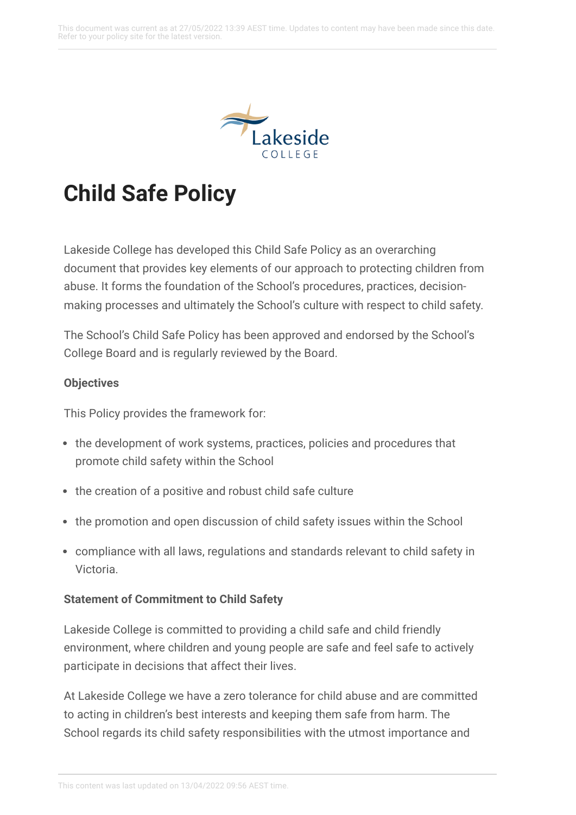

# **Child Safe Policy**

Lakeside College has developed this Child Safe Policy as an overarching document that provides key elements of our approach to protecting children from abuse. It forms the foundation of the School's procedures, practices, decisionmaking processes and ultimately the School's culture with respect to child safety.

The School's Child Safe Policy has been approved and endorsed by the School's College Board and is regularly reviewed by the Board.

### **Objectives**

This Policy provides the framework for:

- the development of work systems, practices, policies and procedures that promote child safety within the School
- the creation of a positive and robust child safe culture
- the promotion and open discussion of child safety issues within the School
- compliance with all laws, regulations and standards relevant to child safety in Victoria.

#### **Statement of Commitment to Child Safety**

Lakeside College is committed to providing a child safe and child friendly environment, where children and young people are safe and feel safe to actively participate in decisions that affect their lives.

At Lakeside College we have a zero tolerance for child abuse and are committed to acting in children's best interests and keeping them safe from harm. The School regards its child safety responsibilities with the utmost importance and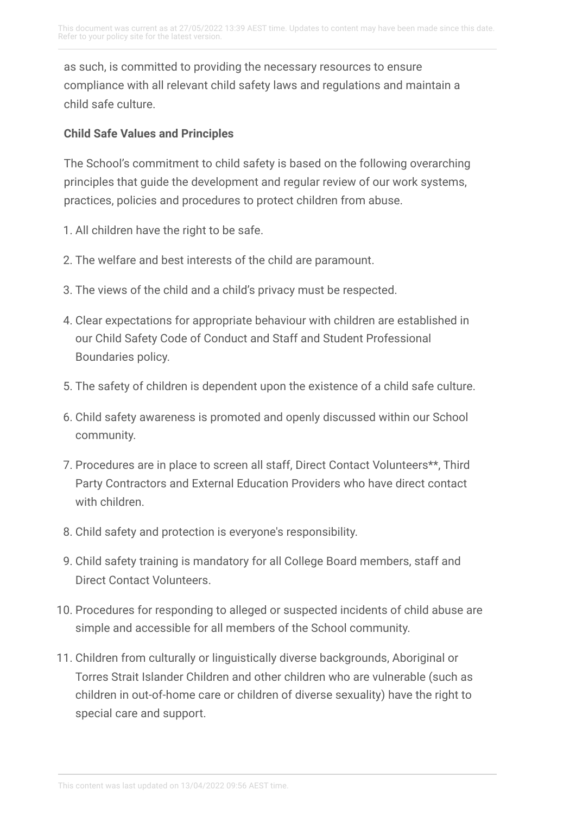as such, is committed to providing the necessary resources to ensure compliance with all relevant child safety laws and regulations and maintain a child safe culture.

### **Child Safe Values and Principles**

The School's commitment to child safety is based on the following overarching principles that guide the development and regular review of our work systems, practices, policies and procedures to protect children from abuse.

- 1. All children have the right to be safe.
- 2. The welfare and best interests of the child are paramount.
- 3. The views of the child and a child's privacy must be respected.
- 4. Clear expectations for appropriate behaviour with children are established in our Child Safety Code of Conduct and Staff and Student Professional Boundaries policy.
- 5. The safety of children is dependent upon the existence of a child safe culture.
- 6. Child safety awareness is promoted and openly discussed within our School community.
- 7. Procedures are in place to screen all staff, Direct Contact Volunteers\*\*, Third Party Contractors and External Education Providers who have direct contact with children.
- 8. Child safety and protection is everyone's responsibility.
- 9. Child safety training is mandatory for all College Board members, staff and Direct Contact Volunteers.
- 10. Procedures for responding to alleged or suspected incidents of child abuse are simple and accessible for all members of the School community.
- 11. Children from culturally or linguistically diverse backgrounds, Aboriginal or Torres Strait Islander Children and other children who are vulnerable (such as children in out-of-home care or children of diverse sexuality) have the right to special care and support.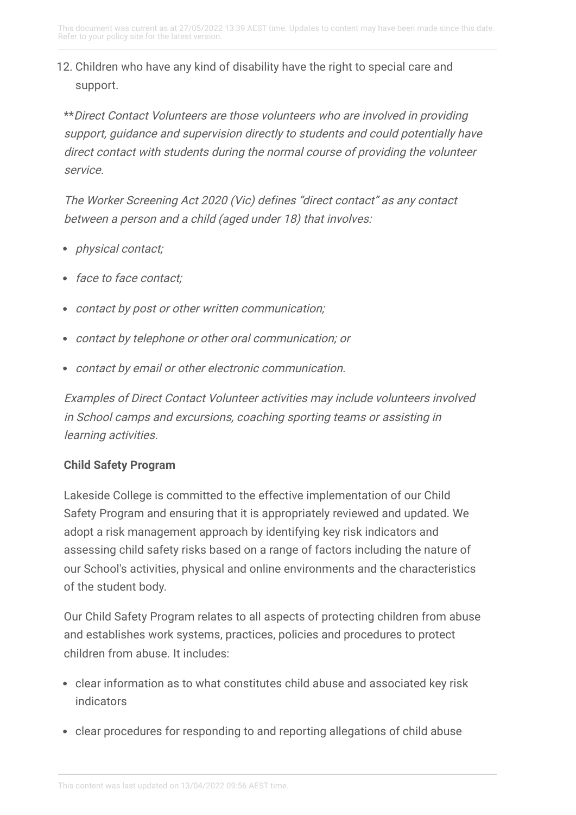# 12. Children who have any kind of disability have the right to special care and support.

\*\*Direct Contact Volunteers are those volunteers who are involved in providing support, guidance and supervision directly to students and could potentially have direct contact with students during the normal course of providing the volunteer service.

The Worker Screening Act 2020 (Vic) defines "direct contact" as any contact between <sup>a</sup> person and <sup>a</sup> child (aged under 18) that involves:

- physical contact;
- face to face contact;
- contact by post or other written communication;
- contact by telephone or other oral communication; or
- contact by email or other electronic communication.

Examples of Direct Contact Volunteer activities may include volunteers involved in School camps and excursions, coaching sporting teams or assisting in learning activities.

# **Child Safety Program**

Lakeside College is committed to the effective implementation of our Child Safety Program and ensuring that it is appropriately reviewed and updated. We adopt a risk management approach by identifying key risk indicators and assessing child safety risks based on a range of factors including the nature of our School's activities, physical and online environments and the characteristics of the student body.

Our Child Safety Program relates to all aspects of protecting children from abuse and establishes work systems, practices, policies and procedures to protect children from abuse. It includes:

- clear information as to what constitutes child abuse and associated key risk indicators
- clear procedures for responding to and reporting allegations of child abuse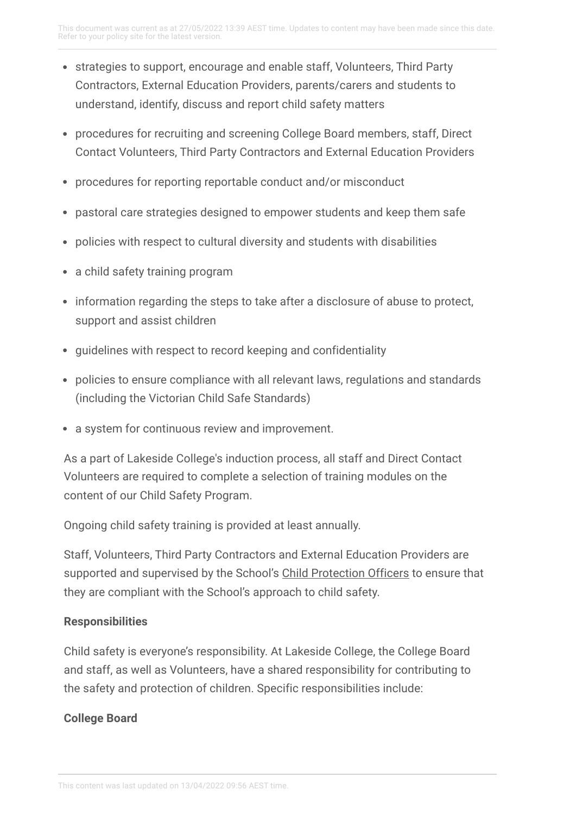- strategies to support, encourage and enable staff, Volunteers, Third Party Contractors, External Education Providers, parents/carers and students to understand, identify, discuss and report child safety matters
- procedures for recruiting and screening College Board members, staff, Direct Contact Volunteers, Third Party Contractors and External Education Providers
- procedures for reporting reportable conduct and/or misconduct
- pastoral care strategies designed to empower students and keep them safe
- policies with respect to cultural diversity and students with disabilities
- a child safety training program
- information regarding the steps to take after a disclosure of abuse to protect, support and assist children
- guidelines with respect to record keeping and confidentiality
- policies to ensure compliance with all relevant laws, regulations and standards (including the Victorian Child Safe Standards)
- a system for continuous review and improvement.

As a part of Lakeside College's induction process, all staff and Direct Contact Volunteers are required to complete a selection of training modules on the content of our Child Safety Program.

Ongoing child safety training is provided at least annually.

Staff, Volunteers, Third Party Contractors and External Education Providers are supported and supervised by the School's Child [Protection](https://lakesidecollege.policyconnect.com.au/module/53/page/b8877a38-8408-4730-979b-53cb1705529a.md) Officers to ensure that they are compliant with the School's approach to child safety.

## **Responsibilities**

Child safety is everyone's responsibility. At Lakeside College, the College Board and staff, as well as Volunteers, have a shared responsibility for contributing to the safety and protection of children. Specific responsibilities include:

# **College Board**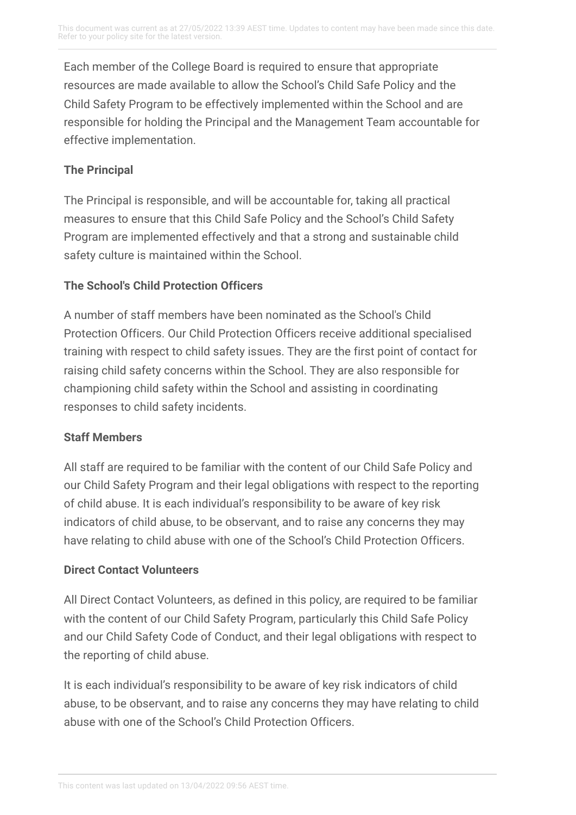Each member of the College Board is required to ensure that appropriate resources are made available to allow the School's Child Safe Policy and the Child Safety Program to be effectively implemented within the School and are responsible for holding the Principal and the Management Team accountable for effective implementation.

# **The Principal**

The Principal is responsible, and will be accountable for, taking all practical measures to ensure that this Child Safe Policy and the School's Child Safety Program are implemented effectively and that a strong and sustainable child safety culture is maintained within the School.

# **The School's Child Protection Officers**

A number of staff members have been nominated as the School's Child Protection Officers. Our Child Protection Officers receive additional specialised training with respect to child safety issues. They are the first point of contact for raising child safety concerns within the School. They are also responsible for championing child safety within the School and assisting in coordinating responses to child safety incidents.

# **Staff Members**

All staff are required to be familiar with the content of our Child Safe Policy and our Child Safety Program and their legal obligations with respect to the reporting of child abuse. It is each individual's responsibility to be aware of key risk indicators of child abuse, to be observant, and to raise any concerns they may have relating to child abuse with one of the School's Child Protection Officers.

## **Direct Contact Volunteers**

All Direct Contact Volunteers, as defined in this policy, are required to be familiar with the content of our Child Safety Program, particularly this Child Safe Policy and our Child Safety Code of Conduct, and their legal obligations with respect to the reporting of child abuse.

It is each individual's responsibility to be aware of key risk indicators of child abuse, to be observant, and to raise any concerns they may have relating to child abuse with one of the School's Child Protection Officers.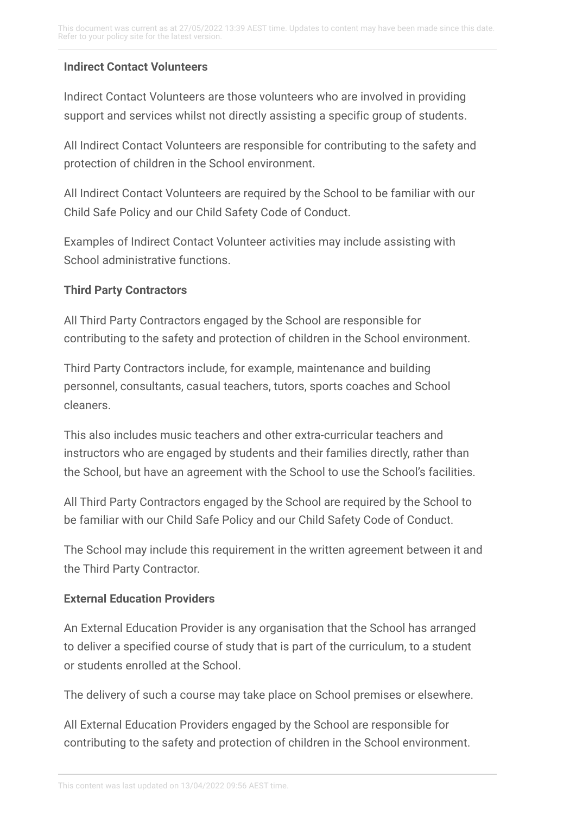### **Indirect Contact Volunteers**

Indirect Contact Volunteers are those volunteers who are involved in providing support and services whilst not directly assisting a specific group of students.

All Indirect Contact Volunteers are responsible for contributing to the safety and protection of children in the School environment.

All Indirect Contact Volunteers are required by the School to be familiar with our Child Safe Policy and our Child Safety Code of Conduct.

Examples of Indirect Contact Volunteer activities may include assisting with School administrative functions.

#### **Third Party Contractors**

All Third Party Contractors engaged by the School are responsible for contributing to the safety and protection of children in the School environment.

Third Party Contractors include, for example, maintenance and building personnel, consultants, casual teachers, tutors, sports coaches and School cleaners.

This also includes music teachers and other extra-curricular teachers and instructors who are engaged by students and their families directly, rather than the School, but have an agreement with the School to use the School's facilities.

All Third Party Contractors engaged by the School are required by the School to be familiar with our Child Safe Policy and our Child Safety Code of Conduct.

The School may include this requirement in the written agreement between it and the Third Party Contractor.

#### **External Education Providers**

An External Education Provider is any organisation that the School has arranged to deliver a specified course of study that is part of the curriculum, to a student or students enrolled at the School.

The delivery of such a course may take place on School premises or elsewhere.

All External Education Providers engaged by the School are responsible for contributing to the safety and protection of children in the School environment.